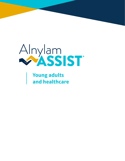

**Young adults and healthcare**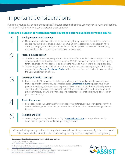### Important Considerations

If you are a young adult and are choosing health insurance for the first time, you may have a number of options. This guide is intended to help you understand these options.<sup>a</sup>

#### **There are a number of health insurance coverage options available to young adults:**

#### **Employer-sponsored coverage**

- $\triangleright$  Many employers offer health insurance plans to eligible employees and dependents. If you are eligible, you may elect to enroll in your company's employer-sponsored insurance plan when starting a new job, during the open enrollment period, or if you've had a certain life event (e.g., marriage, birth of a child, or loss of health insurance coverage).
- 2

1

#### **Parent's insurance plan**

- $\triangleright$  The Affordable Care Act requires plans and issuers that offer dependent child coverage to make the coverage available until a child reaches the age of 26. Both married and unmarried children qualify for this coverage. This rule applies to all plans in the individual market and to all employer plans.
- $\triangleright$  This coverage ends on your 26<sup>th</sup> birthday; however, when you lose coverage on your 26<sup>th</sup> birthday, you qualify for a **[Special Enrollment Period](https://www.healthcare.gov/coverage-outside-open-enrollment/#part=2)** which allows you to enroll in a health plan outside of the Open Enrollment time frame.



#### **Catastrophic health coverage**

 $\triangleright$  If you are under 30, you may be eligible to purchase a special kind of health insurance plan that can protect you from very high medical costs. **[Catastrophic plans](https://www.healthcare.gov/choose-a-plan/catastrophic-health-plans/)** typically have lower premiums and may offer free access to preventative care (e.g., immunizations, blood pressure screening, etc.); however, these plans often have high deductibles (i.e., with the exception of preventative care, you will likely have to pay a substantial amount before your plan will cover your medical costs).

# 4

5

 $\mathcal{D}$ 

#### **Student insurance**

ce coverage for students. Coverage ma<br>ol for additional information on covera<br>**DRAFT**  $\triangleright$  Some colleges and universities offer insurance coverage for students. Coverage may vary from school to school; you can contact your school for additional information on coverage and how to enroll.

#### **Medicaid and CHIP**

▷ Some young adults may be able to qualify for **[Medicaid and CHIP](https://www.healthcare.gov/medicaid-chip/getting-medicaid-chip/)** coverage. This is usually dependent on your income and other qualifying life events.

When evaluating coverage options, it is important to consider whether your current physician is in a plan's network and whether or not the plan offers coverage for any medications you are currently taking.

#### **a Information above has been adapted from the following sources:**

Department of Labor. Available at:

Centers for Medicare & Medicaid Services. People under 30: How to get or stay on a parent's plan. Available at: <https://www.healthcare.gov/young-adults/children-under-26/>

Centers for Medicare & Medicaid Services. Getting covered if you're under 30. Available at: [https://www.healthcare.gov/young-adults/coverage/#/questions](https://www.healthcare.gov/young-adults/coverage/#/questions
)



[https://www.dol.gov/agencies/ebsa/](https://www.dol.gov/agencies/ebsa/about-ebsa/our-activities/resource-center/faqs/young-adult-and-aca#:~:text=to%20age%2026%3F-,The%20Affordable%20Care%20Act%20requires%20plans%20and%20issuers%20that%20offer,and%20to%20all%20employer%20plans.)about-ebsa/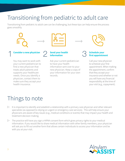# Transitioning from pediatric to adult care

Transitioning from pediatric to adult care can be challenging, but these tips can help ensure the process goes smoothly



#### Consider a new physician **C** Send your health

You may want to work with your current pediatrician to find a new physician that treats adult patients and supports your healthcare needs. Once you identify a physician, contact them to make sure they accept your health insurance.



### **information**

Ask your current pediatrician to have your health information sent over to your new physician. Keep a copy of your information for your own records.



# $\begin{tabular}{c} \multicolumn{1}{c}{} & \multicolumn{1}{c}{} & \multicolumn{1}{c}{} & \multicolumn{1}{c}{} & \multicolumn{1}{c}{} & \multicolumn{1}{c}{} & \multicolumn{1}{c}{} & \multicolumn{1}{c}{} & \multicolumn{1}{c}{} & \multicolumn{1}{c}{} & \multicolumn{1}{c}{} & \multicolumn{1}{c}{} & \multicolumn{1}{c}{} & \multicolumn{1}{c}{} & \multicolumn{1}{c}{} & \multicolumn{1}{c}{} & \multicolumn{1}{c}{} & \multicolumn{1}{c}{} & \multicolumn{1}{c}{} & \multicolumn$

Call your new physician to schedule your first appointment. When making the appointment, confirm that they accept your insurance and whether or not you will have any financial responsibility at the time of your visit (e.g., copayment).

# Things to note

- ith a primary care physician and oth<br>ncy care services). This will help enst<br>ions or events) that may impact your  $\triangleright$  It is important to identify and establish a relationship with a primary care physician and other relevant specialists (as opposed to relying on urgent or emergency care services). This will help ensure your physicians are aware of key issues (e.g., medical conditions or events) that may impact your health and treatment decision making.
- $\triangleright$  The practice will have you sign a HIPAA consent form which gives privacy rights to your medical information. If you would like to share medical information with other family members, your physician will ask you to fill out another form that allows certain individuals to access your information and be with you at your visit.

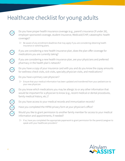# Healthcare checklist for young adults

- Do you have proper health insurance coverage (e.g., parent's insurance [if under 26], employer-sponsored coverage, student insurance, Medicaid/CHIP, catastrophic health coverage)?
	- $\triangleright$  Be aware of any enrollment deadlines that may apply if you are considering obtaining health insurance or switching plans.
	- If you are considering a new health insurance plan, does the plan offer coverage for medications you are currently taking?
	- If you are considering a new health insurance plan, are your physicians and preferred pharmacy in the health plan's network?
	- Do you have a copy of your insurance card with you and do you know the copay amounts for wellness-check visits, sick visits, specialty physician visits, and medications?
	- Do you have a primary care physician?
		- $\triangleright$  Ensure that your medical information has been updated and transferred from your pediatrician to your new physician.
	- Do you know which medications you may be allergic to or any other information that would be important for a physician to know (e.g., recent medical or dental procedures, family medical history, etc.)?
		- Do you have access to your medical records and immunization records?
		- Have you completed the HIPAA privacy form at your physician's office?
		- be important for a physician to a<br>by medical history, etc.)?<br>bu have access to your medical red<br>you completed the HIPAA privacy<br>d you like to grant permission to a<br>mation and appointments if need Would you like to grant permission to another family member for access to your medical information and appointments, if needed?
		- $\triangleright$  If so, have you completed the appropriate paperwork to grant permission for the parent/caregiver to speak with your healthcare providers?



 $\bigcirc$ 

S<br>S